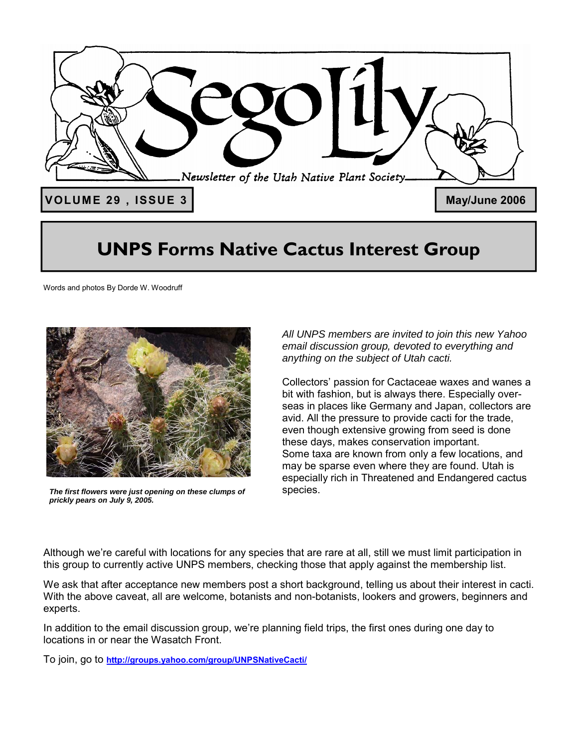

### **UNPS Forms Native Cactus Interest Group**

Words and photos By Dorde W. Woodruff



*The first flowers were just opening on these clumps of prickly pears on July 9, 2005.* 

*All UNPS members are invited to join this new Yahoo email discussion group, devoted to everything and anything on the subject of Utah cacti.* 

Collectors' passion for Cactaceae waxes and wanes a bit with fashion, but is always there. Especially overseas in places like Germany and Japan, collectors are avid. All the pressure to provide cacti for the trade, even though extensive growing from seed is done these days, makes conservation important. Some taxa are known from only a few locations, and may be sparse even where they are found. Utah is especially rich in Threatened and Endangered cactus species.

Although we're careful with locations for any species that are rare at all, still we must limit participation in this group to currently active UNPS members, checking those that apply against the membership list.

We ask that after acceptance new members post a short background, telling us about their interest in cacti. With the above caveat, all are welcome, botanists and non-botanists, lookers and growers, beginners and experts.

In addition to the email discussion group, we're planning field trips, the first ones during one day to locations in or near the Wasatch Front.

To join, go to **http://groups.yahoo.com/group/UNPSNativeCacti/**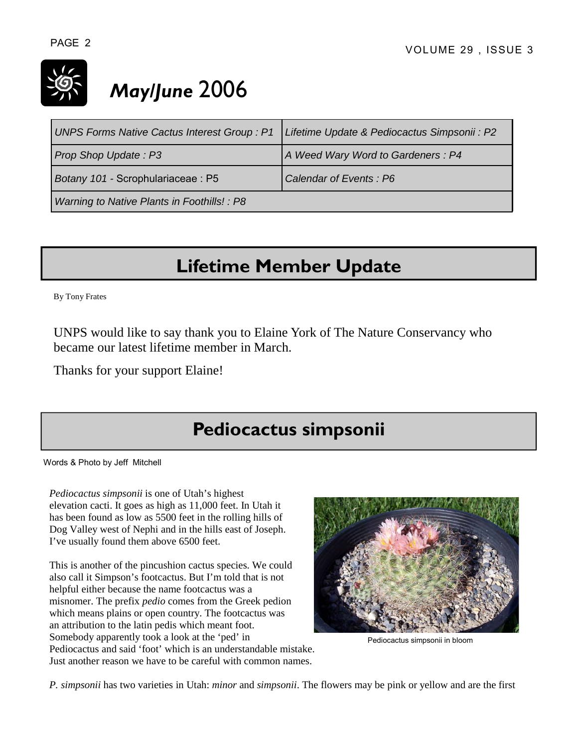

# *May/June* 2006

| <b>UNPS Forms Native Cactus Interest Group: P1</b> | Lifetime Update & Pediocactus Simpsonii : P2 |
|----------------------------------------------------|----------------------------------------------|
| Prop Shop Update: P3                               | A Weed Wary Word to Gardeners: P4            |
| Botany 101 - Scrophulariaceae : P5                 | Calendar of Events: P6                       |
| Warning to Native Plants in Foothills! : P8        |                                              |

## **Lifetime Member Update**

By Tony Frates

UNPS would like to say thank you to Elaine York of The Nature Conservancy who became our latest lifetime member in March.

Thanks for your support Elaine!

### **Pediocactus simpsonii**

Words & Photo by Jeff Mitchell

*Pediocactus simpsonii* is one of Utah's highest elevation cacti. It goes as high as 11,000 feet. In Utah it has been found as low as 5500 feet in the rolling hills of Dog Valley west of Nephi and in the hills east of Joseph. I've usually found them above 6500 feet.

This is another of the pincushion cactus species. We could also call it Simpson's footcactus. But I'm told that is not helpful either because the name footcactus was a misnomer. The prefix *pedio* comes from the Greek pedion which means plains or open country. The footcactus was an attribution to the latin pedis which meant foot. Somebody apparently took a look at the 'ped' in Pediocactus and said 'foot' which is an understandable mistake. Just another reason we have to be careful with common names.



Pediocactus simpsonii in bloom

*P. simpsonii* has two varieties in Utah: *minor* and *simpsonii*. The flowers may be pink or yellow and are the first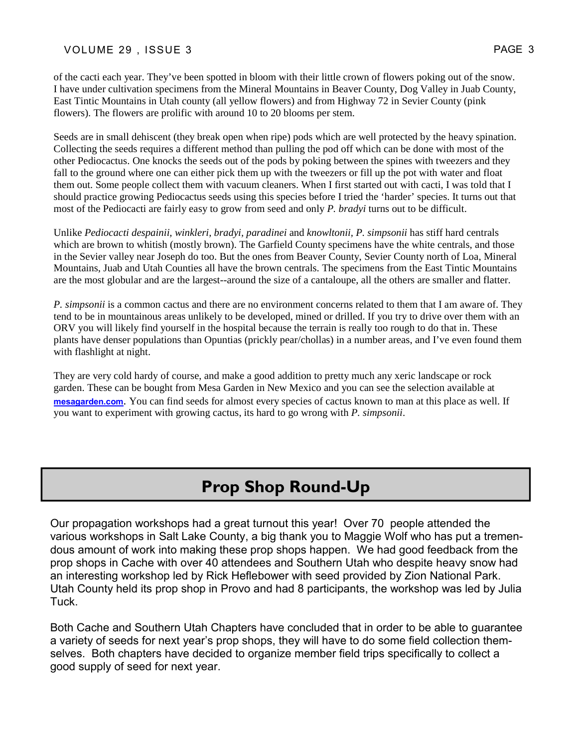#### VOLUME 29, ISSUE 3 PAGE 3

of the cacti each year. They've been spotted in bloom with their little crown of flowers poking out of the snow. I have under cultivation specimens from the Mineral Mountains in Beaver County, Dog Valley in Juab County, East Tintic Mountains in Utah county (all yellow flowers) and from Highway 72 in Sevier County (pink flowers). The flowers are prolific with around 10 to 20 blooms per stem.

Seeds are in small dehiscent (they break open when ripe) pods which are well protected by the heavy spination. Collecting the seeds requires a different method than pulling the pod off which can be done with most of the other Pediocactus. One knocks the seeds out of the pods by poking between the spines with tweezers and they fall to the ground where one can either pick them up with the tweezers or fill up the pot with water and float them out. Some people collect them with vacuum cleaners. When I first started out with cacti, I was told that I should practice growing Pediocactus seeds using this species before I tried the 'harder' species. It turns out that most of the Pediocacti are fairly easy to grow from seed and only *P. bradyi* turns out to be difficult.

Unlike *Pediocacti despainii, winkleri, bradyi, paradinei* and *knowltonii, P. simpsonii* has stiff hard centrals which are brown to whitish (mostly brown). The Garfield County specimens have the white centrals, and those in the Sevier valley near Joseph do too. But the ones from Beaver County, Sevier County north of Loa, Mineral Mountains, Juab and Utah Counties all have the brown centrals. The specimens from the East Tintic Mountains are the most globular and are the largest--around the size of a cantaloupe, all the others are smaller and flatter.

*P. simpsonii* is a common cactus and there are no environment concerns related to them that I am aware of. They tend to be in mountainous areas unlikely to be developed, mined or drilled. If you try to drive over them with an ORV you will likely find yourself in the hospital because the terrain is really too rough to do that in. These plants have denser populations than Opuntias (prickly pear/chollas) in a number areas, and I've even found them with flashlight at night.

They are very cold hardy of course, and make a good addition to pretty much any xeric landscape or rock garden. These can be bought from Mesa Garden in New Mexico and you can see the selection available at **mesagarden.com**. You can find seeds for almost every species of cactus known to man at this place as well. If you want to experiment with growing cactus, its hard to go wrong with *P. simpsonii*.

### **Prop Shop Round-Up**

Our propagation workshops had a great turnout this year! Over 70 people attended the various workshops in Salt Lake County, a big thank you to Maggie Wolf who has put a tremendous amount of work into making these prop shops happen. We had good feedback from the prop shops in Cache with over 40 attendees and Southern Utah who despite heavy snow had an interesting workshop led by Rick Heflebower with seed provided by Zion National Park. Utah County held its prop shop in Provo and had 8 participants, the workshop was led by Julia Tuck.

Both Cache and Southern Utah Chapters have concluded that in order to be able to guarantee a variety of seeds for next year's prop shops, they will have to do some field collection themselves. Both chapters have decided to organize member field trips specifically to collect a good supply of seed for next year.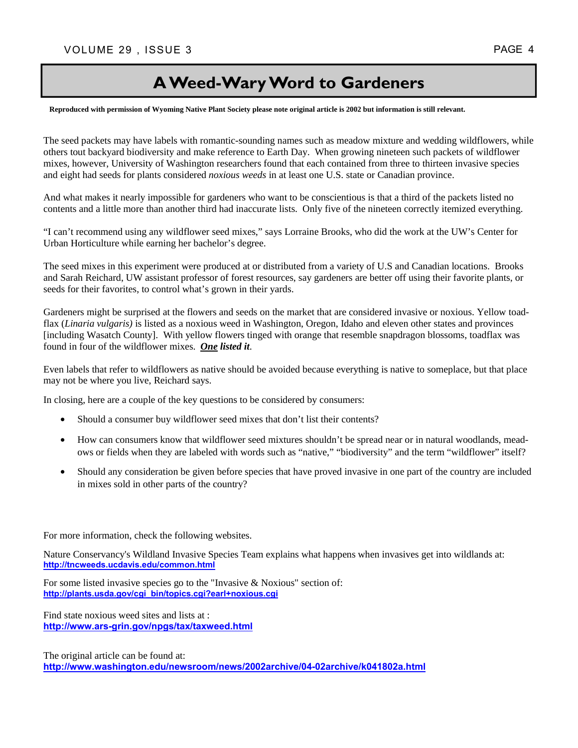### **A Weed-Wary Word to Gardeners**

**Reproduced with permission of Wyoming Native Plant Society please note original article is 2002 but information is still relevant.** 

The seed packets may have labels with romantic-sounding names such as meadow mixture and wedding wildflowers, while others tout backyard biodiversity and make reference to Earth Day. When growing nineteen such packets of wildflower mixes, however, University of Washington researchers found that each contained from three to thirteen invasive species and eight had seeds for plants considered *noxious weeds* in at least one U.S. state or Canadian province.

And what makes it nearly impossible for gardeners who want to be conscientious is that a third of the packets listed no contents and a little more than another third had inaccurate lists. Only five of the nineteen correctly itemized everything.

"I can't recommend using any wildflower seed mixes," says Lorraine Brooks, who did the work at the UW's Center for Urban Horticulture while earning her bachelor's degree.

The seed mixes in this experiment were produced at or distributed from a variety of U.S and Canadian locations. Brooks and Sarah Reichard, UW assistant professor of forest resources, say gardeners are better off using their favorite plants, or seeds for their favorites, to control what's grown in their yards.

Gardeners might be surprised at the flowers and seeds on the market that are considered invasive or noxious. Yellow toadflax (*Linaria vulgaris)* is listed as a noxious weed in Washington, Oregon, Idaho and eleven other states and provinces [including Wasatch County]. With yellow flowers tinged with orange that resemble snapdragon blossoms, toadflax was found in four of the wildflower mixes. *One listed it*.

Even labels that refer to wildflowers as native should be avoided because everything is native to someplace, but that place may not be where you live, Reichard says.

In closing, here are a couple of the key questions to be considered by consumers:

- Should a consumer buy wildflower seed mixes that don't list their contents?
- How can consumers know that wildflower seed mixtures shouldn't be spread near or in natural woodlands, meadows or fields when they are labeled with words such as "native," "biodiversity" and the term "wildflower" itself?
- Should any consideration be given before species that have proved invasive in one part of the country are included in mixes sold in other parts of the country?

For more information, check the following websites.

Nature Conservancy's Wildland Invasive Species Team explains what happens when invasives get into wildlands at: **http://tncweeds.ucdavis.edu/common.html**

For some listed invasive species go to the "Invasive & Noxious" section of: **http://plants.usda.gov/cgi\_bin/topics.cgi?earl+noxious.cgi**

Find state noxious weed sites and lists at : **http://www.ars-grin.gov/npgs/tax/taxweed.html**

The original article can be found at: **http://www.washington.edu/newsroom/news/2002archive/04-02archive/k041802a.html**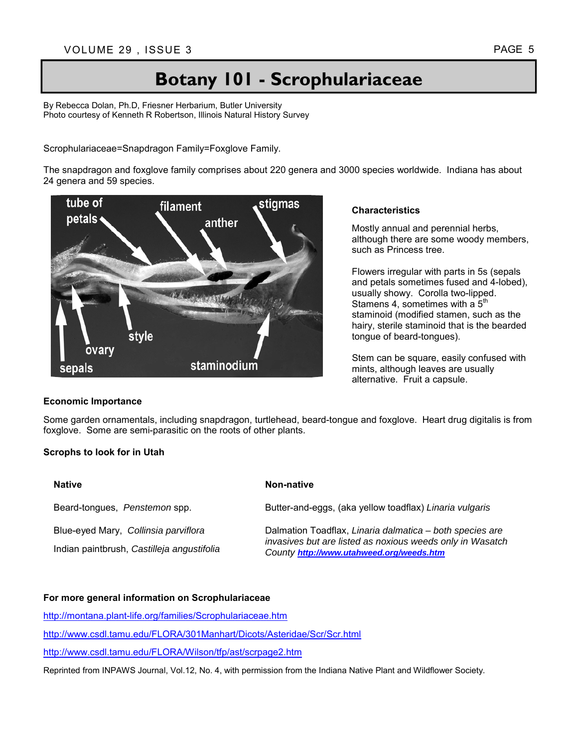## **Botany 101 - Scrophulariaceae**

By Rebecca Dolan, Ph.D, Friesner Herbarium, Butler University Photo courtesy of Kenneth R Robertson, Illinois Natural History Survey

Scrophulariaceae=Snapdragon Family=Foxglove Family.

The snapdragon and foxglove family comprises about 220 genera and 3000 species worldwide. Indiana has about 24 genera and 59 species.



#### **Economic Importance**

#### **Characteristics**

Mostly annual and perennial herbs, although there are some woody members, such as Princess tree.

Flowers irregular with parts in 5s (sepals and petals sometimes fused and 4-lobed), usually showy. Corolla two-lipped. Stamens 4, sometimes with a  $5<sup>th</sup>$ staminoid (modified stamen, such as the hairy, sterile staminoid that is the bearded tongue of beard-tongues).

Stem can be square, easily confused with mints, although leaves are usually alternative. Fruit a capsule.

Some garden ornamentals, including snapdragon, turtlehead, beard-tongue and foxglove. Heart drug digitalis is from foxglove. Some are semi-parasitic on the roots of other plants.

#### **Scrophs to look for in Utah**

| <b>Native</b>                              | Non-native                                                                                                                                                        |
|--------------------------------------------|-------------------------------------------------------------------------------------------------------------------------------------------------------------------|
| Beard-tongues, Penstemon spp.              | Butter-and-eggs, (aka yellow toadflax) Linaria vulgaris                                                                                                           |
| Blue-eyed Mary, Collinsia parviflora       | Dalmation Toadflax, Linaria dalmatica - both species are<br>invasives but are listed as noxious weeds only in Wasatch<br>County http://www.utahweed.org/weeds.htm |
| Indian paintbrush, Castilleja angustifolia |                                                                                                                                                                   |

#### **For more general information on Scrophulariaceae**

http://montana.plant-life.org/families/Scrophulariaceae.htm

http://www.csdl.tamu.edu/FLORA/301Manhart/Dicots/Asteridae/Scr/Scr.html

http://www.csdl.tamu.edu/FLORA/Wilson/tfp/ast/scrpage2.htm

Reprinted from INPAWS Journal, Vol.12, No. 4, with permission from the Indiana Native Plant and Wildflower Society.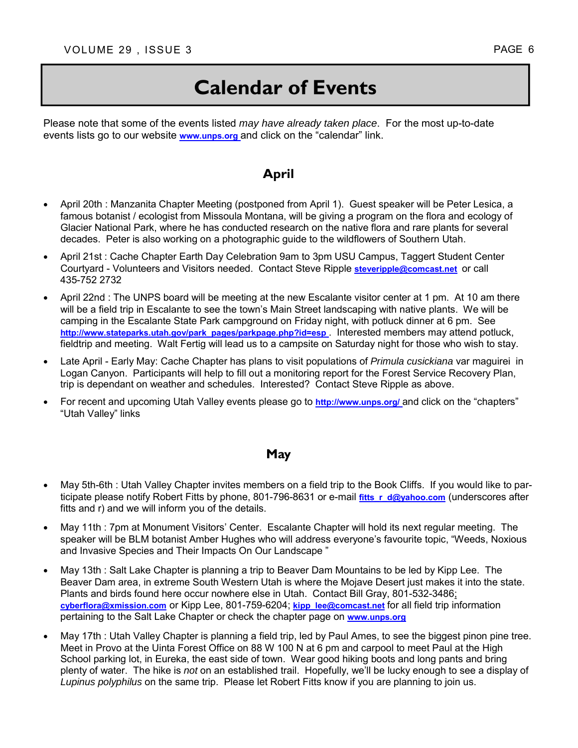Please note that some of the events listed *may have already taken place*. For the most up-to-date events lists go to our website **www.unps.org** and click on the "calendar" link.

#### **April**

- April 20th : Manzanita Chapter Meeting (postponed from April 1). Guest speaker will be Peter Lesica, a famous botanist / ecologist from Missoula Montana, will be giving a program on the flora and ecology of Glacier National Park, where he has conducted research on the native flora and rare plants for several decades. Peter is also working on a photographic guide to the wildflowers of Southern Utah.
- April 21st : Cache Chapter Earth Day Celebration 9am to 3pm USU Campus, Taggert Student Center Courtyard - Volunteers and Visitors needed. Contact Steve Ripple **steveripple@comcast.net** or call 435-752 2732
- April 22nd : The UNPS board will be meeting at the new Escalante visitor center at 1 pm. At 10 am there will be a field trip in Escalante to see the town's Main Street landscaping with native plants. We will be camping in the Escalante State Park campground on Friday night, with potluck dinner at 6 pm. See **http://www.stateparks.utah.gov/park\_pages/parkpage.php?id=esp** . Interested members may attend potluck, fieldtrip and meeting. Walt Fertig will lead us to a campsite on Saturday night for those who wish to stay.
- Late April Early May: Cache Chapter has plans to visit populations of *Primula cusickiana* var maguirei in Logan Canyon. Participants will help to fill out a monitoring report for the Forest Service Recovery Plan, trip is dependant on weather and schedules. Interested? Contact Steve Ripple as above.
- For recent and upcoming Utah Valley events please go to **http://www.unps.org/** and click on the "chapters" "Utah Valley" links

#### **May**

- May 5th-6th : Utah Valley Chapter invites members on a field trip to the Book Cliffs. If you would like to participate please notify Robert Fitts by phone, 801-796-8631 or e-mail fitts r d@yahoo.com (underscores after fitts and r) and we will inform you of the details.
- May 11th : 7pm at Monument Visitors' Center. Escalante Chapter will hold its next regular meeting. The speaker will be BLM botanist Amber Hughes who will address everyone's favourite topic, "Weeds, Noxious and Invasive Species and Their Impacts On Our Landscape "
- May 13th : Salt Lake Chapter is planning a trip to Beaver Dam Mountains to be led by Kipp Lee. The Beaver Dam area, in extreme South Western Utah is where the Mojave Desert just makes it into the state. Plants and birds found here occur nowhere else in Utah. Contact Bill Gray, 801-532-3486; **cyberflora@xmission.com** or Kipp Lee, 801-759-6204; **kipp\_lee@comcast.net** for all field trip information pertaining to the Salt Lake Chapter or check the chapter page on **www.unps.org**
- May 17th : Utah Valley Chapter is planning a field trip, led by Paul Ames, to see the biggest pinon pine tree. Meet in Provo at the Uinta Forest Office on 88 W 100 N at 6 pm and carpool to meet Paul at the High School parking lot, in Eureka, the east side of town. Wear good hiking boots and long pants and bring plenty of water. The hike is *not* on an established trail. Hopefully, we'll be lucky enough to see a display of *Lupinus polyphilus* on the same trip. Please let Robert Fitts know if you are planning to join us.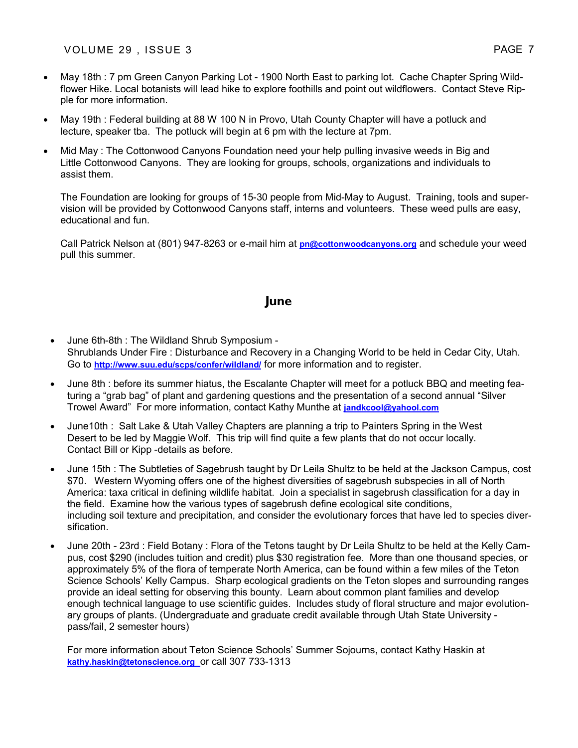- May 18th : 7 pm Green Canyon Parking Lot 1900 North East to parking lot. Cache Chapter Spring Wildflower Hike. Local botanists will lead hike to explore foothills and point out wildflowers. Contact Steve Ripple for more information.
- May 19th : Federal building at 88 W 100 N in Provo, Utah County Chapter will have a potluck and lecture, speaker tba. The potluck will begin at 6 pm with the lecture at 7pm.
- Mid May : The Cottonwood Canyons Foundation need your help pulling invasive weeds in Big and Little Cottonwood Canyons. They are looking for groups, schools, organizations and individuals to assist them.

The Foundation are looking for groups of 15-30 people from Mid-May to August. Training, tools and supervision will be provided by Cottonwood Canyons staff, interns and volunteers. These weed pulls are easy, educational and fun.

Call Patrick Nelson at (801) 947-8263 or e-mail him at **pn@cottonwoodcanyons.org** and schedule your weed pull this summer.

#### **June**

- June 6th-8th : The Wildland Shrub Symposium Shrublands Under Fire : Disturbance and Recovery in a Changing World to be held in Cedar City, Utah. Go to **http://www.suu.edu/scps/confer/wildland/** for more information and to register.
- June 8th : before its summer hiatus, the Escalante Chapter will meet for a potluck BBQ and meeting featuring a "grab bag" of plant and gardening questions and the presentation of a second annual "Silver Trowel Award" For more information, contact Kathy Munthe at **jandkcool@yahool.com**
- June10th : Salt Lake & Utah Valley Chapters are planning a trip to Painters Spring in the West Desert to be led by Maggie Wolf. This trip will find quite a few plants that do not occur locally. Contact Bill or Kipp -details as before.
- June 15th : The Subtleties of Sagebrush taught by Dr Leila Shultz to be held at the Jackson Campus, cost \$70. Western Wyoming offers one of the highest diversities of sagebrush subspecies in all of North America: taxa critical in defining wildlife habitat. Join a specialist in sagebrush classification for a day in the field. Examine how the various types of sagebrush define ecological site conditions, including soil texture and precipitation, and consider the evolutionary forces that have led to species diversification.
- June 20th 23rd : Field Botany : Flora of the Tetons taught by Dr Leila Shultz to be held at the Kelly Campus, cost \$290 (includes tuition and credit) plus \$30 registration fee. More than one thousand species, or approximately 5% of the flora of temperate North America, can be found within a few miles of the Teton Science Schools' Kelly Campus. Sharp ecological gradients on the Teton slopes and surrounding ranges provide an ideal setting for observing this bounty. Learn about common plant families and develop enough technical language to use scientific guides. Includes study of floral structure and major evolutionary groups of plants. (Undergraduate and graduate credit available through Utah State University pass/fail, 2 semester hours)

For more information about Teton Science Schools' Summer Sojourns, contact Kathy Haskin at **kathy.haskin@tetonscience.org** or call 307 733-1313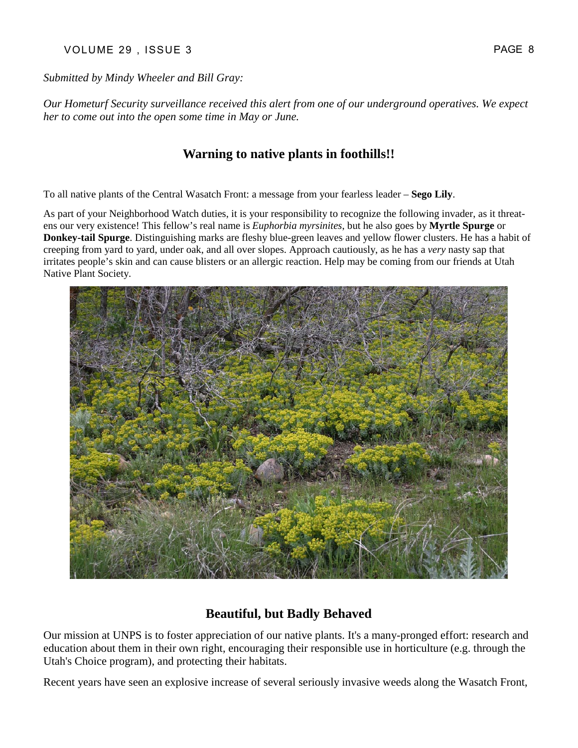#### VOLUME 29, ISSUE 3 PAGE 8

*Submitted by Mindy Wheeler and Bill Gray:* 

*Our Hometurf Security surveillance received this alert from one of our underground operatives. We expect her to come out into the open some time in May or June.* 

#### **Warning to native plants in foothills!!**

To all native plants of the Central Wasatch Front: a message from your fearless leader – **Sego Lily**.

As part of your Neighborhood Watch duties, it is your responsibility to recognize the following invader, as it threatens our very existence! This fellow's real name is *Euphorbia myrsinites*, but he also goes by **Myrtle Spurge** or **Donkey-tail Spurge**. Distinguishing marks are fleshy blue-green leaves and yellow flower clusters. He has a habit of creeping from yard to yard, under oak, and all over slopes. Approach cautiously, as he has a *very* nasty sap that irritates people's skin and can cause blisters or an allergic reaction. Help may be coming from our friends at Utah Native Plant Society.



#### **Beautiful, but Badly Behaved**

Our mission at UNPS is to foster appreciation of our native plants. It's a many-pronged effort: research and education about them in their own right, encouraging their responsible use in horticulture (e.g. through the Utah's Choice program), and protecting their habitats.

Recent years have seen an explosive increase of several seriously invasive weeds along the Wasatch Front,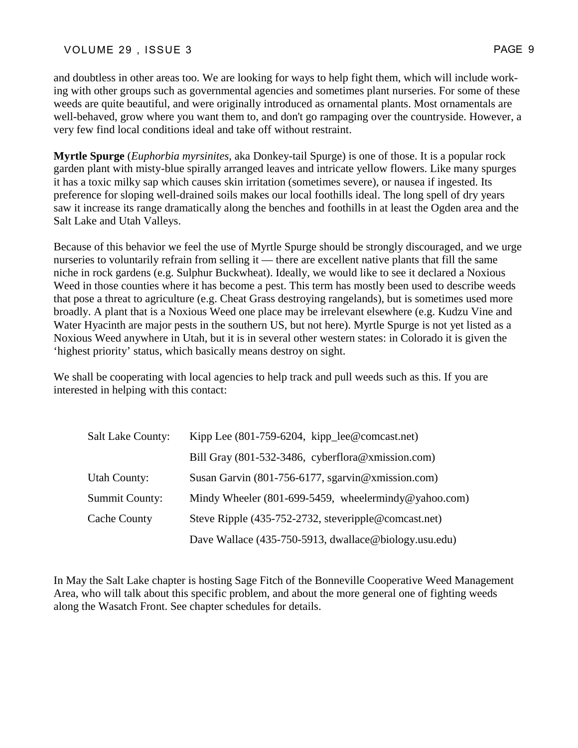#### VOLUME 29, ISSUE 3 PAGE 9

and doubtless in other areas too. We are looking for ways to help fight them, which will include working with other groups such as governmental agencies and sometimes plant nurseries. For some of these weeds are quite beautiful, and were originally introduced as ornamental plants. Most ornamentals are well-behaved, grow where you want them to, and don't go rampaging over the countryside. However, a very few find local conditions ideal and take off without restraint.

**Myrtle Spurge** (*Euphorbia myrsinites,* aka Donkey-tail Spurge) is one of those. It is a popular rock garden plant with misty-blue spirally arranged leaves and intricate yellow flowers. Like many spurges it has a toxic milky sap which causes skin irritation (sometimes severe), or nausea if ingested. Its preference for sloping well-drained soils makes our local foothills ideal. The long spell of dry years saw it increase its range dramatically along the benches and foothills in at least the Ogden area and the Salt Lake and Utah Valleys.

Because of this behavior we feel the use of Myrtle Spurge should be strongly discouraged, and we urge nurseries to voluntarily refrain from selling it — there are excellent native plants that fill the same niche in rock gardens (e.g. Sulphur Buckwheat). Ideally, we would like to see it declared a Noxious Weed in those counties where it has become a pest. This term has mostly been used to describe weeds that pose a threat to agriculture (e.g. Cheat Grass destroying rangelands), but is sometimes used more broadly. A plant that is a Noxious Weed one place may be irrelevant elsewhere (e.g. Kudzu Vine and Water Hyacinth are major pests in the southern US, but not here). Myrtle Spurge is not yet listed as a Noxious Weed anywhere in Utah, but it is in several other western states: in Colorado it is given the 'highest priority' status, which basically means destroy on sight.

We shall be cooperating with local agencies to help track and pull weeds such as this. If you are interested in helping with this contact:

| <b>Salt Lake County:</b> | Kipp Lee (801-759-6204, kipp_lee@comcast.net)          |
|--------------------------|--------------------------------------------------------|
|                          | Bill Gray (801-532-3486, cyberflora@xmission.com)      |
| <b>Utah County:</b>      | Susan Garvin (801-756-6177, sgarvin@xmission.com)      |
| <b>Summit County:</b>    | Mindy Wheeler $(801-699-5459,$ wheelermindy@yahoo.com) |
| Cache County             | Steve Ripple (435-752-2732, steveripple@comcast.net)   |
|                          | Dave Wallace (435-750-5913, dwallace@biology.usu.edu)  |

In May the Salt Lake chapter is hosting Sage Fitch of the Bonneville Cooperative Weed Management Area, who will talk about this specific problem, and about the more general one of fighting weeds along the Wasatch Front. See chapter schedules for details.